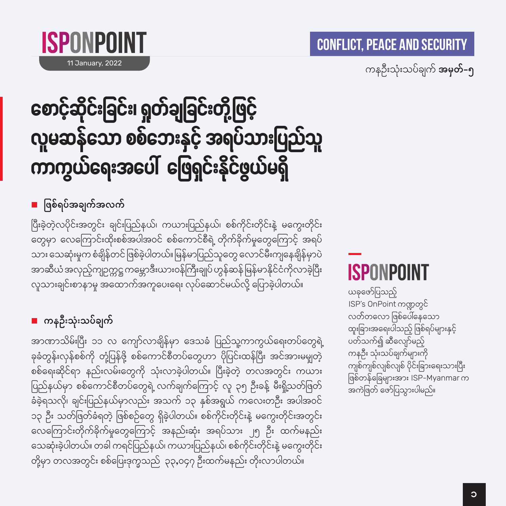

11 January, 2022

ကနဉီးသုံးသပ်ချက် **အမှတ်–၅** 

# စောင့်ဆိုင်းခြင်း၊ ရှတ်ချခြင်းတို့ဖြင့် လူမဆန်သော စစ်ဘေးနှင့် အရပ်သားပြည်သူ ကာကွယ်ရေးအပေါ် ဖြေရှင်းနိုင်ဖွယ်မရှိ

■ ဖြစ်ရပ်အချက်အလက်

ပြီးခဲ့တဲ့လပိုင်းအတွင်း ချင်းပြည်နယ်၊ ကယားပြည်နယ်၊ စစ်ကိုင်းတိုင်းနဲ့ မကွေးတိုင်း တွေမှာ လေကြောင်းထိုးစစ်အပါအဝင် စစ်ကောင်စီရဲ့ တိုက်ခိုက်မှုတွေကြောင့် အရပ် သား သေဆုံးမှုက စံချိန်တင် ဖြစ်ခဲ့ပါတယ်။ မြန်မာပြည်သူတွေ လောင်မီးကျနေချိန်မှာပဲ အာဆီယံ အလှည့်ကျဉက္ကဋ္ဌ ကမ္ဘောဒီးယားဝန်ကြီးချုပ် ဟွန်ဆန် မြန်မာနိုင်ငံကိုလာခဲ့ပြီး လူသားချင်းစာနာမှု အထောက်အကူပေးရေး လုပ်ဆောင်မယ်လို့ ပြောခဲ့ပါတယ်။

#### ■ ကနဦးသုံးသပ်ချက်

အာဏာသိမ်းပြီး ၁၁ လ ကျော်လာချိန်မှာ ဒေသခံ ပြည်သူ့ကာကွယ်ရေးတပ်တွေရဲ့ ခုခံတွန်းလှန်စစ်ကို တုံ့ပြန်ဖို့ စစ်ကောင်စီတပ်တွေဟာ ပိုပြင်းထန်ပြီး အင်အားမမှုတဲ့ စစ်ရေးဆိုင်ရာ နည်းလမ်းတွေကို သုံးလာခဲ့ပါတယ်။ ပြီးခဲ့တဲ့ တလအတွင်း ကယား ပြည်နယ်မှာ စစ်ကောင်စီတပ်တွေရဲ့ လက်ချက်ကြောင့် လူ ၃၅ ဦးခန့် မီးရှို့သတ်ဖြတ် ခံခဲ့ရသလို၊ ချင်းပြည်နယ်မှာလည်း အသက် ၁၃ နှစ်အရွယ် ကလေးတဦး အပါအဝင် ၁၃ ဦး သတ်ဖြတ်ခံရတဲ့ ဖြစ်စဉ်တွေ ရှိခဲ့ပါတယ်။ စစ်ကိုင်းတိုင်းနဲ့ မကွေးတိုင်းအတွင်း လေကြောင်းတိုက်ခိုက်မှုတွေကြောင့် အနည်းဆုံး အရပ်သား ၂၅ ဦး ထက်မနည်း သေဆုံးခဲ့ပါတယ်။ တခါ ကရင်ပြည်နယ်၊ ကယားပြည်နယ်၊ စစ်ကိုင်းတိုင်းနဲ့ မကွေးတိုင်း တို့မှာ တလအတွင်း စစ်ပြေးဒုက္ခသည် ၃၃,၀၄၇ ဦးထက်မနည်း တိုးလာပါတယ်။

# **ISPONPOINT**

ယခုဖော်ပြသည့် ISP's OnPoint ကဏ္ဍတွင် လတ်တလော ဖြစ်ပေါ်နေသော ထူးခြားအရေးပါသည့် ဖြစ်ရပ်များနှင့် ပတ်သက်၍ ဆီလျော်မည့် ကနဦး သုံးသပ်ချက်များကို ကျစ်ကျစ်လျစ်လျစ် ပိုင်းခြားရေးသားပြီး ဖြစ်တန်ခြေများအား ISP-Myanmar က အကဲဖြတ် ဖော်ပြသွားပါမည်။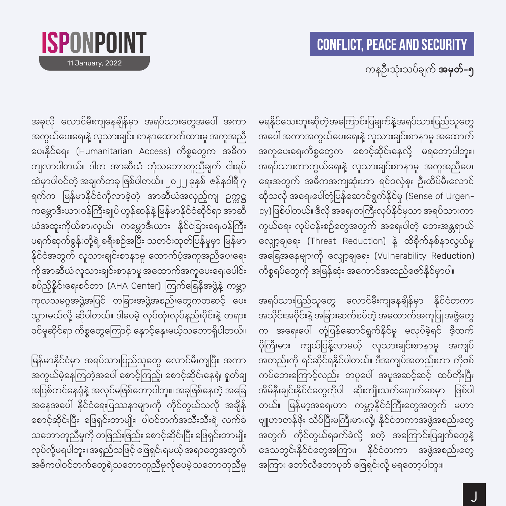#### ကနဉီးသုံးသပ်ချက် **အမှတ်–၅**

မရနိုင်သေးဘူးဆိုတဲ့အကြောင်းပြချက်နဲ့အရပ်သားပြည်သူတွေ အပေါ် အကာအကွယ်ပေးရေးနဲ့ လူသားချင်းစာနာမှု အထောက် အကူပေးရေးကိစ္စတွေက စောင့်ဆိုင်းနေလို့ မရတော့ပါဘူး။ အရပ်သားကာကွယ်ရေးနဲ့ လူသားချင်းစာနာမူ အကူအညီပေး ရေးအတွက် အဓိကအကျဆုံးဟာ ရင်ဝလုံစူး ဦးထိပ်မီးလောင် ဆိုသလို အရေးပေါ်တုံ့ပြန်ဆောင်ရွက်နိုင်မှု (Sense of Urgen– cy)ဖြစ်ပါတယ်။ ဒီလို အရေးတကြီးလုပ်နိုင်မှသာ အရပ်သားကာ ကွယ်ရေး လုပ်ငန်းစဉ်တွေအတွက် အရေးပါတဲ့ ဘေးအန္တရာယ် လျှော့ချရေး (Threat Reduction) နဲ့ ထိခိုက်နစ်နာလွယ်မှု အခြေအနေများကို လျှော့ချရေး (Vulnerability Reduction) ကိစ္စရပ်တွေကို အမြန်ဆုံး အကောင်အထည်ဖော်နိုင်မှာပါ။

အရပ်သားပြည်သူတွေ လောင်မီးကျနေချိန်မှာ နိုင်ငံတကာ အသိုင်းအဝိုင်းနဲ့ အခြားဆက်စပ်တဲ့ အထောက်အကူပြု အဖွဲ့တွေ က အရေးပေါ် တုံ့ပြန်ဆောင်ရွက်နိုင်မှု မလုပ်ခဲ့ရင် ဒီ့ထက် ပိုကြီးမား ကျယ်ပြန့်လာမယ့် လူသားချင်းစာနာမူ အကျပ် အတည်းကို ရင်ဆိုင်ရနိုင်ပါတယ်။ ဒီအကျပ်အတည်းဟာ ကိုဗစ် ကပ်ဘေးကြောင့်လည်း တပူပေါ် အပူအဆင့်ဆင့် ထပ်တိုးပြီး အိမ်နီးချင်းနိုင်ငံတွေကိုပါ ဆိုးကျိုးသက်ရောက်စေမှာ ဖြစ်ပါ တယ်။ မြန်မာ့အရေးဟာ ကမ္ဘာ့နိုင်ငံကြီးတွေအတွက် မဟာ ဗျူဟာတန်ဖိုး သိပ်ပြီးမကြီးမားလို့၊ နိုင်ငံတကာအဖွဲ့အစည်းတွေ အတွက် ကိုင်တွယ်ရခက်ခဲလို့ စတဲ့ အကြောင်းပြချက်တွေနဲ့ ဒေသတွင်းနိုင်ငံတွေအကြား၊ နိုင်ငံတကာ အဖွဲ့အစည်းတွေ အကြား ဘော်လီဘောပုတ် ဖြေရှင်းလို့ မရတော့ပါဘူး။

အခုလို လောင်မီးကျနေချိန်မှာ အရပ်သားတွေအပေါ် အကာ အကွယ်ပေးရေးနဲ့ လူသားချင်း စာနာထောက်ထားမှု အကူအညီ ပေးနိုင်ရေး (Humanitarian Access) ကိစ္စတွေက အဓိက ကျလာပါတယ်။ ဒါက အာဆီယံ ဘုံသဘောတူညီချက် ငါးရပ် ထဲမှာပါဝင်တဲ့ အချက်တခု ဖြစ်ပါတယ်။ ၂၀၂၂ ခုနှစ် ဇန်နဝါရီ ၇ ရက်က မြန်မာနိုင်ငံကိုလာခဲ့တဲ့ အာဆီယံအလှည့်ကျ ဉက္ကဋ္ဌ ကမ္ဘောဒီးယားဝန်ကြီးချုပ် ဟွန်ဆန်နဲ့ မြန်မာနိုင်ငံဆိုင်ရာ အာဆီ ယံအထူးကိုယ်စားလှယ်၊ ကမ္ဘောဒီးယား နိုင်ငံခြားရေးဝန်ကြီး ပရက်ဆုက်ခွန်းတို့ရဲ့ ခရီးစဉ်အပြီး သတင်းထုတ်ပြန်မှုမှာ မြန်မာ နိုင်ငံအတွက် လူသားချင်းစာနာမူ ထောက်ပံ့အကူအညီပေးရေး ကို အာဆီယံ လူသားချင်းစာနာမူ အထောက်အကူပေးရေးပေါင်း စပ်ညှိနိုင်းရေးစင်တာ (AHA Center)၊ ကြက်ခြေနီအဖွဲ့နဲ့ ကမ္ဘာ့ ကုလသမဂ္ဂအဖွဲ့အပြင် တခြားအဖွဲ့အစည်းတွေကတဆင့် ပေး သွားမယ်လို့ ဆိုပါတယ်။ ဒါပေမဲ့ လုပ်ထုံးလုပ်နည်းပိုင်းနဲ့ တရား ဝင်မှုဆိုင်ရာ ကိစ္စတွေကြောင့် နှောင့်နှေးမယ့်သဘောရှိပါတယ်။

ISPONPOINT

11 January, 2022

မြန်မာနိုင်ငံမှာ အရပ်သားပြည်သူတွေ လောင်မီးကျပြီး အကာ အကွယ်မဲ့နေကြတဲ့အပေါ် စောင့်ကြည့်၊ စောင့်ဆိုင်းနေရုံ၊ ရူတ်ချ အပြစ်တင်နေရုံနဲ့ အလုပ်မဖြစ်တော့ပါဘူး။ အခုဖြစ်နေတဲ့ အခြေ အနေအပေါ် နိုင်ငံရေးပြဿနာများကို ကိုင်တွယ်သလို အချိန် စောင့်ဆိုင်းပြီး ဖြေရှင်းတာမျိုး၊ ပါဝင်ဘက်အသီးသီးရဲ့ လက်ခံ သဘောတူညီမှုကို တဖြည်းဖြည်း စောင့်ဆိုင်းပြီး ဖြေရှင်းတာမျိုး လုပ်လို့မရပါဘူး။ အရှည်သဖြင့် ဖြေရှင်းရမယ့် အရာတွေအတွက် အဓိကပါဝင်ဘက်တွေရဲ့သဘောတူညီမှုလိုပေမဲ့သဘောတူညီမှု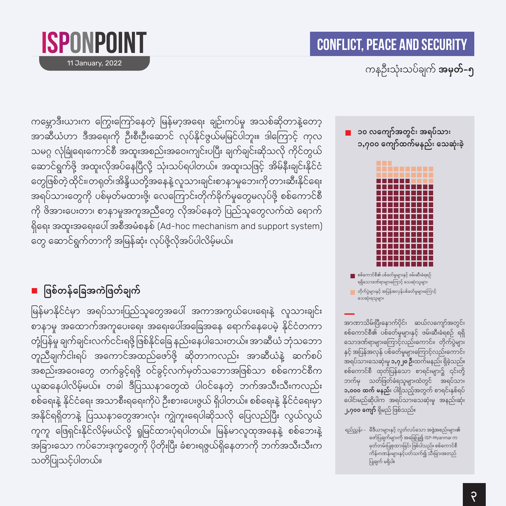

11 January, 2022

### ကနဦးသုံးသပ်ချက် **အမှတ်–၅**

ကမ္ဘောဒီးယားက ကြွေးကြော်နေတဲ့ မြန်မာ့အရေး ချဉ်းကပ်မှု အသစ်ဆိုတာနဲ့တော့ အာဆီယံဟာ ဒီအရေးကို ဦးစီးဦးဆောင် လုပ်နိုင်ဖွယ်မမြင်ပါဘူး။ ဒါကြောင့် ကုလ သမဂ္ဂ လုံခြုံရေးကောင်စီ အထူးအစည်းအဝေးကျင်းပပြီး ချက်ချင်းဆိုသလို ကိုင်တွယ် ဆောင်ရွက်ဖို့ အထူးလိုအပ်နေပြီလို့ သုံးသပ်ရပါတယ်။ အထူးသဖြင့် အိမ်နီးချင်းနိုင်ငံ တွေဖြစ်တဲ့ထိုင်း၊တရုတ်၊အိန္ဒိယတို့အနေနဲ့ လူသားချင်းစာနာမူဘေးကိုတားဆီးနိုင်ရေး အရပ်သားတွေကို ပစ်မှတ်မထားဖို့၊ လေကြောင်းတိုက်ခိုက်မှုတွေမလုပ်ဖို့ စစ်ကောင်စီ ကို ဖိအားပေးတာ၊ စာနာမူအကူအညီတွေ လိုအပ်နေတဲ့ ပြည်သူတွေလက်ထဲ ရောက် ရှိရေး အထူးအရေးပေါ် အစီအမံစနစ် (Ad-hoc mechanism and support system) တွေ ဆောင်ရွက်တာကို အမြန်ဆုံး လုပ်ဖို့လိုအပ်ပါလိမ့်မယ်။

■ ဖြစ်တန်ခြေအကဲဖြတ်ချက်

မြန်မာနိုင်ငံမှာ အရပ်သားပြည်သူတွေအပေါ် အကာအကွယ်ပေးရေးနဲ့ လူသားချင်း စာနာမူ အထောက်အကူပေးရေး အရေးပေါ်အခြေအနေ ရောက်နေပေမဲ့ နိုင်ငံတကာ တုံ့ပြန်မှု ချက်ချင်းလက်ငင်းရဖို့ ဖြစ်နိုင်ခြေ နည်းနေပါသေးတယ်။ အာဆီယံ ဘုံသဘော တူညီချက်ငါးရပ် အကောင်အထည်ဖော်ဖို့ ဆိုတာကလည်း အာဆီယံနဲ့ ဆက်စပ် အစည်းအဝေးတွေ တက်ခွင့်ရဖို့ ဝင်ခွင့်လက်မှတ်သဘောအဖြစ်သာ စစ်ကောင်စီက ယူဆနေပါလိမ့်မယ်။ တခါ ဒီပြဿနာတွေထဲ ပါဝင်နေတဲ့ ဘက်အသီးသီးကလည်း စစ်ရေးနဲ့ နိုင်ငံရေး အသာစီးရရေးကိုပဲ ဦးစားပေးဖွယ် ရှိပါတယ်။ စစ်ရေးနဲ့ နိုင်ငံရေးမှာ အနိုင်ရရှိတာနဲ့ ပြဿနာတွေအားလုံး ကျွဲကူးရေပါဆိုသလို ပြေလည်ပြီး လွယ်လွယ် ကူကူ ဖြေရှင်းနိုင်လိမ့်မယ်လို့ ရှုမြင်ထားပုံရပါတယ်။ မြန်မာလူထုအနေနဲ့ စစ်ဘေးနဲ့ အခြားသော ကပ်ဘေးဒုက္ခတွေကို ပိုတိုးပြီး ခံစားရဖွယ်ရှိနေတာကို ဘက်အသီးသီးက သတိပြုသင့်ပါတယ်။

■ ၁၀ လကျော်အတွင်း အရပ်သား ၁,၇၀၀ ကျော်ထက်မနည်း သေဆုံးခဲ့



<mark>ော</mark> စစ်ကောင်စီ၏ ပစ်ခတ်မှုများနှင့် ဖမ်းဆီးခံရစဉ် ရရှိသောဒဏ်ရာများကြောင့် သေဆုံးသူများ <mark>■</mark> တိုက်ပွဲများနှင့် အပြန်အလှန်ပစ်ခတ်မှုများကြောင့် သေဆုံးရသူများ

အာဏာသိမ်းပြီးနောက်ပိုင်း ဆယ်လကျော်အတွင်း စစ်ကောင်စီ၏ ပစ်ခတ်မှုများနှင့် ဖမ်းဆီးခံရစဉ် ရရှိ သောဒဏ်ရာများကြောင့်လည်းကောင်း၊ တိုက်ပွဲများ နှင့် အပြန်အလှန် ပစ်ခတ်မှုများကြောင့်လည်းကောင်း အရပ်သားသေဆုံးမှု **၁,၇၂၀ ဦး**ထက်မနည်း ရှိခဲ့သည်။ စစ်ကောင်စီ ထုတ်ပြန်သော စာရင်းများ၌ ၎င်းတို့ ဘက်မှ သတ်ဖြတ်ခံရသူများထဲတွင် အရပ်သား ၁,၀၀၀ ထက် မနည်း ပါရှိသည့်အတွက် စာရင်းနှစ်ရပ် ပေါင်းမည်ဆိုပါက အရပ်သားသေဆုံးမှု အနည်းဆုံး **၂,၇၀၀ ကျော်** ရှိမည် ဖြစ်သည်။

ရည်ညွှန်း - မီဒီယာများနှင့် လွတ်လပ်သော အဖွဲ့အစည်းများ၏ ဖော်ပြချက်များကို အခြေပြု၍ ISP-Myanmar က မှတ်တမ်းပြုစုထားခြင်း ဖြစ်ပါသည်။ စစ်ကောင်စီ .<br>ကိန်းဂဏန်းများနှင့်ပတ်သက်၍ သီးခြားအတည် ပြုချက် မရှိပါ။